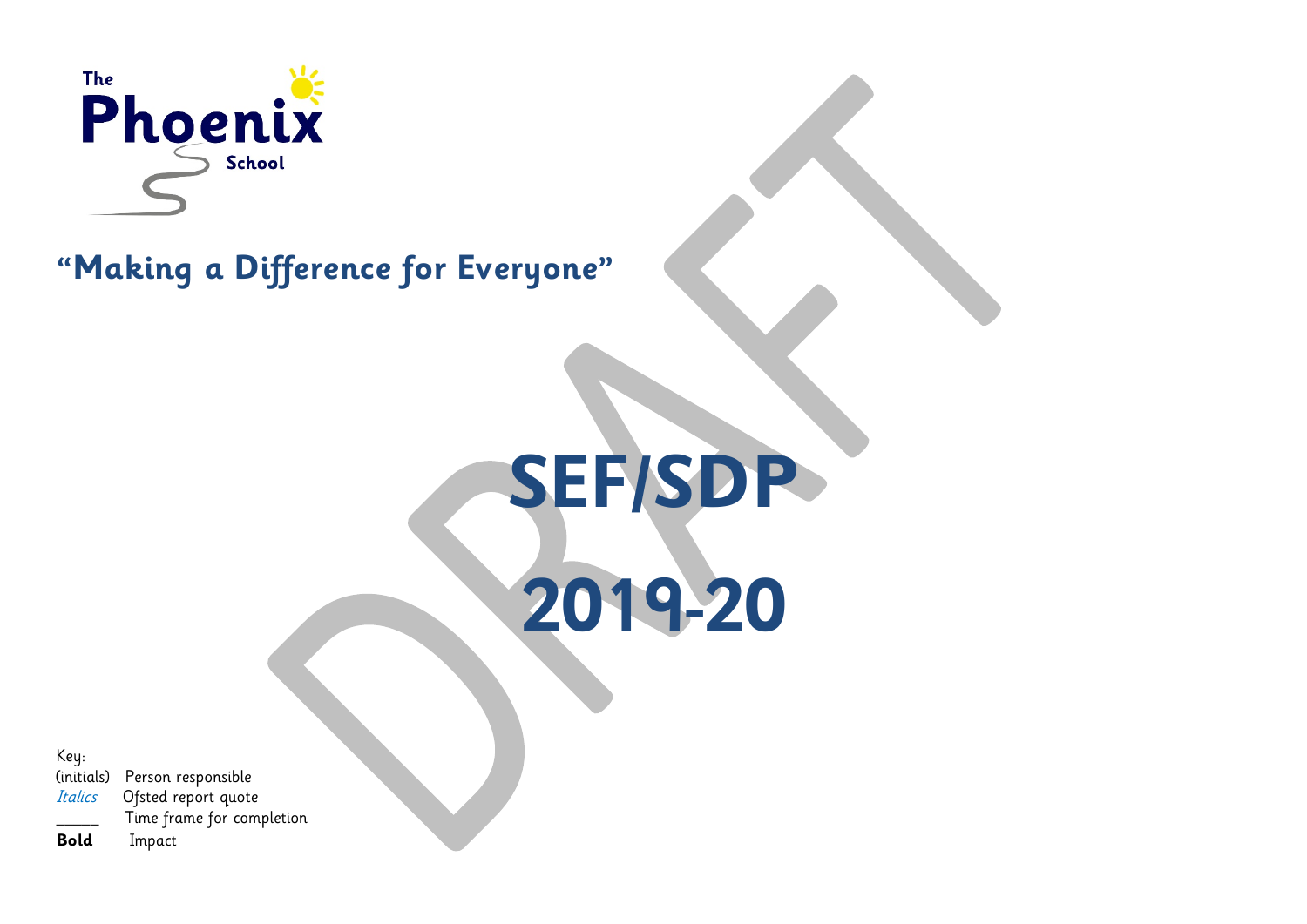

# **"Making a Difference for Everyone"**

**SEF/SDP 2019-20**

Key:

(initials) Person responsible Italics Ofsted report quote Time frame for completion

**Bold** Impact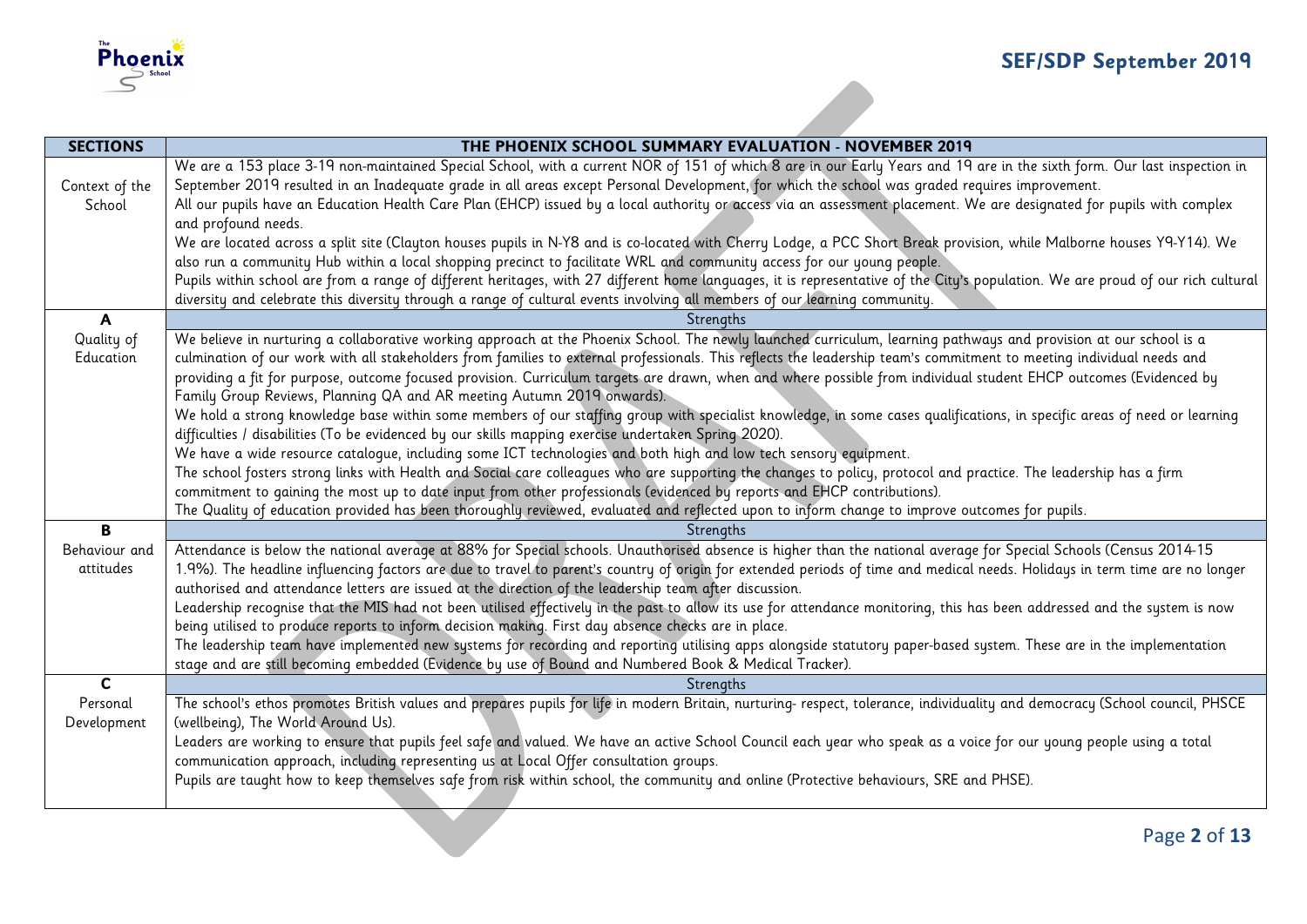

| <b>SECTIONS</b> | THE PHOENIX SCHOOL SUMMARY EVALUATION - NOVEMBER 2019                                                                                                                                                                                                                                 |
|-----------------|---------------------------------------------------------------------------------------------------------------------------------------------------------------------------------------------------------------------------------------------------------------------------------------|
|                 | We are a 153 place 3-19 non-maintained Special School, with a current NOR of 151 of which 8 are in our Early Years and 19 are in the sixth form. Our last inspection in                                                                                                               |
| Context of the  | September 2019 resulted in an Inadequate grade in all areas except Personal Development, for which the school was graded requires improvement.                                                                                                                                        |
| School          | All our pupils have an Education Health Care Plan (EHCP) issued by a local authority or access via an assessment placement. We are designated for pupils with complex                                                                                                                 |
|                 | and profound needs.                                                                                                                                                                                                                                                                   |
|                 | We are located across a split site (Clayton houses pupils in N-Y8 and is co-located with Cherry Lodge, a PCC Short Break provision, while Malborne houses Y9-Y14). We                                                                                                                 |
|                 | also run a community Hub within a local shopping precinct to facilitate WRL and community access for our young people.                                                                                                                                                                |
|                 | Pupils within school are from a range of different heritages, with 27 different home languages, it is representative of the City's population. We are proud of our rich cultural                                                                                                      |
|                 | diversity and celebrate this diversity through a range of cultural events involving all members of our learning community.                                                                                                                                                            |
| $\mathbf{A}$    | Strengths                                                                                                                                                                                                                                                                             |
| Quality of      | We believe in nurturing a collaborative working approach at the Phoenix School. The newly launched curriculum, learning pathways and provision at our school is a                                                                                                                     |
| Education       | culmination of our work with all stakeholders from families to external professionals. This reflects the leadership team's commitment to meeting individual needs and                                                                                                                 |
|                 | providing a fit for purpose, outcome focused provision. Curriculum targets are drawn, when and where possible from individual student EHCP outcomes (Evidenced by                                                                                                                     |
|                 | Family Group Reviews, Planning QA and AR meeting Autumn 2019 onwards).                                                                                                                                                                                                                |
|                 | We hold a strong knowledge base within some members of our staffing group with specialist knowledge, in some cases qualifications, in specific areas of need or learning                                                                                                              |
|                 | difficulties / disabilities (To be evidenced by our skills mapping exercise undertaken Spring 2020).                                                                                                                                                                                  |
|                 | We have a wide resource catalogue, including some ICT technologies and both high and low tech sensory equipment.                                                                                                                                                                      |
|                 | The school fosters strong links with Health and Social care colleagues who are supporting the changes to policy, protocol and practice. The leadership has a firm                                                                                                                     |
|                 | commitment to gaining the most up to date input from other professionals (evidenced by reports and EHCP contributions).                                                                                                                                                               |
|                 | The Quality of education provided has been thoroughly reviewed, evaluated and reflected upon to inform change to improve outcomes for pupils.                                                                                                                                         |
| B               | Strengths                                                                                                                                                                                                                                                                             |
| Behaviour and   | Attendance is below the national average at 88% for Special schools. Unauthorised absence is higher than the national average for Special Schools (Census 2014-15                                                                                                                     |
| attitudes       | 1.9%). The headline influencing factors are due to travel to parent's country of origin for extended periods of time and medical needs. Holidays in term time are no longer<br>authorised and attendance letters are issued at the direction of the leadership team after discussion. |
|                 | Leadership recognise that the MIS had not been utilised effectively in the past to allow its use for attendance monitoring, this has been addressed and the system is now                                                                                                             |
|                 | being utilised to produce reports to inform decision making. First day absence checks are in place.                                                                                                                                                                                   |
|                 | The leadership team have implemented new systems for recording and reporting utilising apps alongside statutory paper-based system. These are in the implementation                                                                                                                   |
|                 | stage and are still becoming embedded (Evidence by use of Bound and Numbered Book & Medical Tracker).                                                                                                                                                                                 |
| $\mathbf{C}$    | Strengths                                                                                                                                                                                                                                                                             |
| Personal        | The school's ethos promotes British values and prepares pupils for life in modern Britain, nurturing- respect, tolerance, individuality and democracy (School council, PHSCE                                                                                                          |
| Development     | (wellbeing), The World Around Us).                                                                                                                                                                                                                                                    |
|                 | Leaders are working to ensure that pupils feel safe and valued. We have an active School Council each year who speak as a voice for our young people using a total                                                                                                                    |
|                 | communication approach, including representing us at Local Offer consultation groups.                                                                                                                                                                                                 |
|                 | Pupils are taught how to keep themselves safe from risk within school, the community and online (Protective behaviours, SRE and PHSE).                                                                                                                                                |
|                 |                                                                                                                                                                                                                                                                                       |
|                 |                                                                                                                                                                                                                                                                                       |
|                 | Page 2 of 13                                                                                                                                                                                                                                                                          |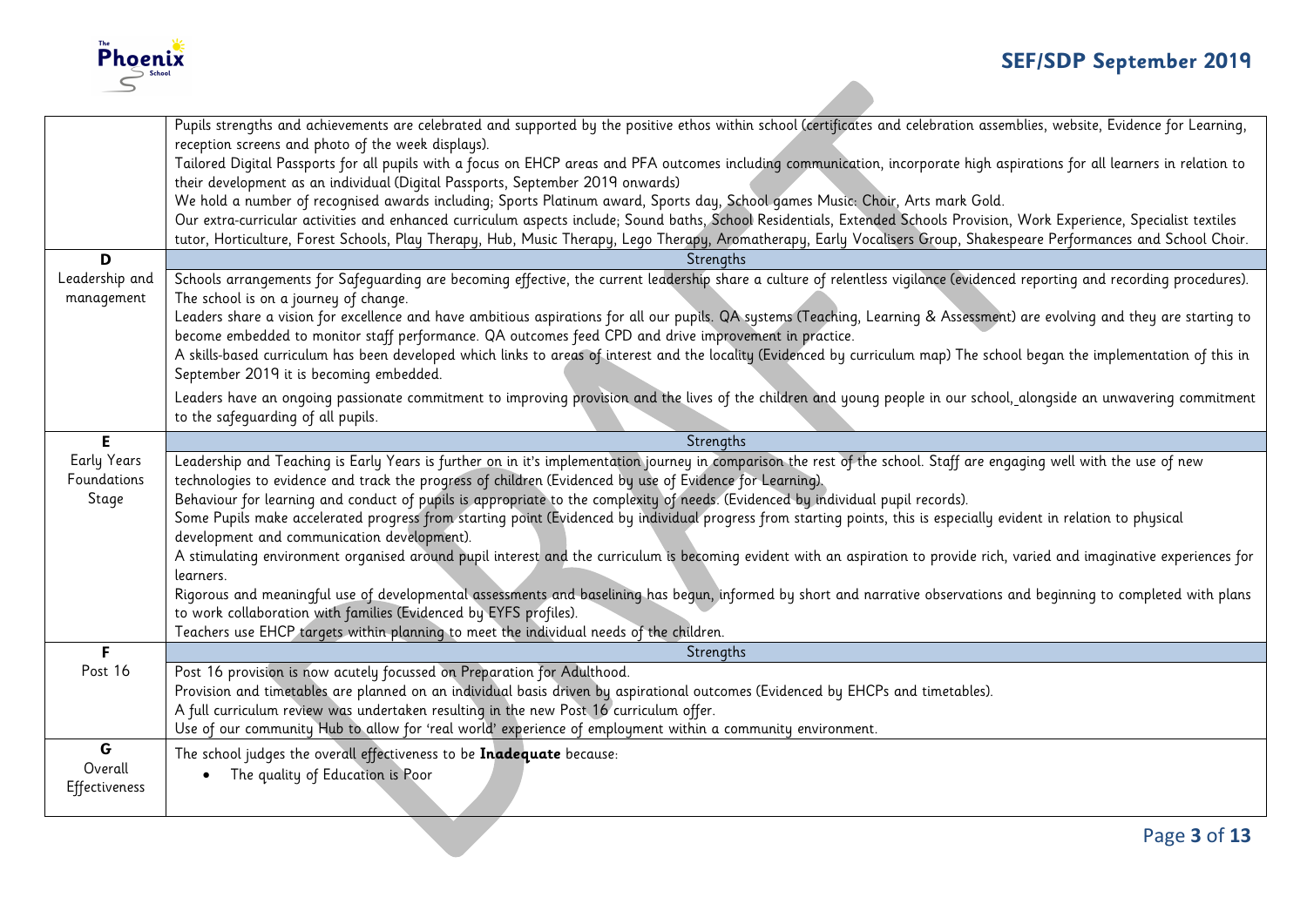

|                      | tutor, Horticulture, Forest Schools, Play Therapy, Hub, Music Therapy, Lego Therapy, Aromatherapy, Early Vocalisers Group, Shakespeare Performances and School Choir.                                                                        |
|----------------------|----------------------------------------------------------------------------------------------------------------------------------------------------------------------------------------------------------------------------------------------|
| D                    | Strenaths                                                                                                                                                                                                                                    |
| Leadership and       | Schools arrangements for Safeguarding are becoming effective, the current leadership share a culture of relentless vigilance (evidenced reporting and recording procedures).                                                                 |
| management           | The school is on a journey of change.<br>Leaders share a vision for excellence and have ambitious aspirations for all our pupils. QA systems (Teaching, Learning & Assessment) are evolving and they are starting to                         |
|                      | become embedded to monitor staff performance. QA outcomes feed CPD and drive improvement in practice.                                                                                                                                        |
|                      | A skills-based curriculum has been developed which links to areas of interest and the locality (Evidenced by curriculum map) The school began the implementation of this in                                                                  |
|                      | September 2019 it is becoming embedded.                                                                                                                                                                                                      |
|                      | Leaders have an ongoing passionate commitment to improving provision and the lives of the children and young people in our school, alongside an unwavering commitment                                                                        |
|                      | to the safequarding of all pupils.                                                                                                                                                                                                           |
| E.                   | Strengths                                                                                                                                                                                                                                    |
| <b>Early Years</b>   | Leadership and Teaching is Early Years is further on in it's implementation journey in comparison the rest of the school. Staff are engaging well with the use of new                                                                        |
| Foundations<br>Stage | technologies to evidence and track the progress of children (Evidenced by use of Evidence for Learning).<br>Behaviour for learning and conduct of pupils is appropriate to the complexity of needs. (Evidenced by individual pupil records). |
|                      | Some Pupils make accelerated progress from starting point (Evidenced by individual progress from starting points, this is especially evident in relation to physical                                                                         |
|                      | development and communication development).                                                                                                                                                                                                  |
|                      |                                                                                                                                                                                                                                              |
|                      | A stimulating environment organised around pupil interest and the curriculum is becoming evident with an aspiration to provide rich, varied and imaginative experiences for                                                                  |
|                      | learners.                                                                                                                                                                                                                                    |
|                      | Rigorous and meaningful use of developmental assessments and baselining has begun, informed by short and narrative observations and beginning to completed with plans                                                                        |
|                      | to work collaboration with families (Evidenced by EYFS profiles).                                                                                                                                                                            |
| F.                   | Teachers use EHCP targets within planning to meet the individual needs of the children.<br>Strengths                                                                                                                                         |
| Post 16              | Post 16 provision is now acutely focussed on Preparation for Adulthood.                                                                                                                                                                      |
|                      | Provision and timetables are planned on an individual basis driven by aspirational outcomes (Evidenced by EHCPs and timetables).                                                                                                             |
|                      | A full curriculum review was undertaken resulting in the new Post 16 curriculum offer.                                                                                                                                                       |
|                      | Use of our community Hub to allow for 'real world' experience of employment within a community environment.                                                                                                                                  |
| G                    | The school judges the overall effectiveness to be Inadequate because:                                                                                                                                                                        |
| Overall              | The quality of Education is Poor<br>$\bullet$                                                                                                                                                                                                |
| Effectiveness        |                                                                                                                                                                                                                                              |
|                      | Page 3 of 13                                                                                                                                                                                                                                 |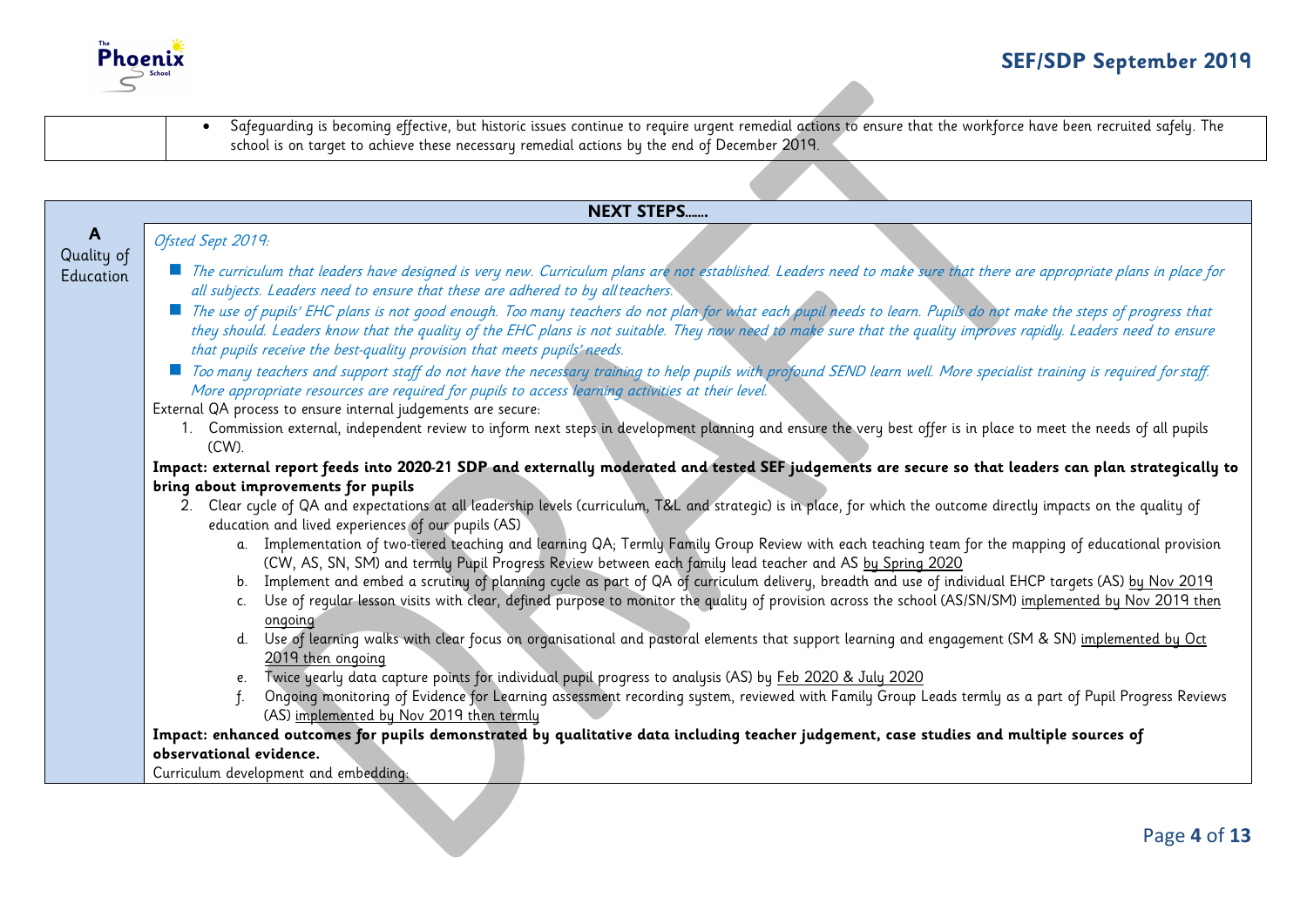

|                                         | Safequarding is becoming effective, but historic issues continue to require urgent remedial actions to ensure that the workforce have been recruited safely. The<br>$\bullet$<br>school is on target to achieve these necessary remedial actions by the end of December 2019.                                                                                                                                                                                                                                                                                                                                                                                                                                                                                                                                                                                                                                                                                                                                                                                                                                                                                                                                                                                                                                                                                                                                                                                                                                                                                                                                                                                                                                                                                                                                                                                                                                                                                                                                                                                                                                                                                                                                                                                                                                                                                                                                                                          |
|-----------------------------------------|--------------------------------------------------------------------------------------------------------------------------------------------------------------------------------------------------------------------------------------------------------------------------------------------------------------------------------------------------------------------------------------------------------------------------------------------------------------------------------------------------------------------------------------------------------------------------------------------------------------------------------------------------------------------------------------------------------------------------------------------------------------------------------------------------------------------------------------------------------------------------------------------------------------------------------------------------------------------------------------------------------------------------------------------------------------------------------------------------------------------------------------------------------------------------------------------------------------------------------------------------------------------------------------------------------------------------------------------------------------------------------------------------------------------------------------------------------------------------------------------------------------------------------------------------------------------------------------------------------------------------------------------------------------------------------------------------------------------------------------------------------------------------------------------------------------------------------------------------------------------------------------------------------------------------------------------------------------------------------------------------------------------------------------------------------------------------------------------------------------------------------------------------------------------------------------------------------------------------------------------------------------------------------------------------------------------------------------------------------------------------------------------------------------------------------------------------------|
|                                         |                                                                                                                                                                                                                                                                                                                                                                                                                                                                                                                                                                                                                                                                                                                                                                                                                                                                                                                                                                                                                                                                                                                                                                                                                                                                                                                                                                                                                                                                                                                                                                                                                                                                                                                                                                                                                                                                                                                                                                                                                                                                                                                                                                                                                                                                                                                                                                                                                                                        |
|                                         | <b>NEXT STEPS</b>                                                                                                                                                                                                                                                                                                                                                                                                                                                                                                                                                                                                                                                                                                                                                                                                                                                                                                                                                                                                                                                                                                                                                                                                                                                                                                                                                                                                                                                                                                                                                                                                                                                                                                                                                                                                                                                                                                                                                                                                                                                                                                                                                                                                                                                                                                                                                                                                                                      |
| $\mathbf{A}$<br>Quality of<br>Education | Ofsted Sept 2019:<br>The curriculum that leaders have designed is very new. Curriculum plans are not established. Leaders need to make sure that there are appropriate plans in place for<br>all subjects. Leaders need to ensure that these are adhered to by all teachers.<br>The use of pupils' EHC plans is not good enough. Too many teachers do not plan for what each pupil needs to learn. Pupils do not make the steps of progress that<br>they should. Leaders know that the quality of the EHC plans is not suitable. They now need to make sure that the quality improves rapidly. Leaders need to ensure<br>that pupils receive the best-quality provision that meets pupils' needs.<br>■ Too many teachers and support staff do not have the necessary training to help pupils with profound SEND learn well. More specialist training is required for staff.<br>More appropriate resources are required for pupils to access learning activities at their level.<br>External QA process to ensure internal judgements are secure:<br>1. Commission external, independent review to inform next steps in development planning and ensure the very best offer is in place to meet the needs of all pupils<br>$(CW)$ .<br>Impact: external report feeds into 2020-21 SDP and externally moderated and tested SEF judgements are secure so that leaders can plan strategically to<br>bring about improvements for pupils<br>2. Clear cycle of QA and expectations at all leadership levels (curriculum, T&L and strategic) is in place, for which the outcome directly impacts on the quality of<br>education and lived experiences of our pupils (AS)<br>a. Implementation of two-tiered teaching and learning QA; Termly Family Group Review with each teaching team for the mapping of educational provision<br>(CW, AS, SN, SM) and termly Pupil Progress Review between each family lead teacher and AS by Spring 2020<br>b. Implement and embed a scrutiny of planning cycle as part of QA of curriculum delivery, breadth and use of individual EHCP targets (AS) by Nov 2019<br>Use of reqular lesson visits with clear, defined purpose to monitor the quality of provision across the school (AS/SN/SM) implemented by Nov 2019 then<br>C.<br>ongoing<br>d. Use of learning walks with clear focus on organisational and pastoral elements that support learning and engagement (SM & SN) implemented by Oct<br>2019 then ongoing |
|                                         | e. Twice yearly data capture points for individual pupil progress to analysis (AS) by Feb 2020 & July 2020<br>Ongoing monitoring of Evidence for Learning assessment recording system, reviewed with Family Group Leads termly as a part of Pupil Progress Reviews<br>(AS) implemented by Nov 2019 then termly                                                                                                                                                                                                                                                                                                                                                                                                                                                                                                                                                                                                                                                                                                                                                                                                                                                                                                                                                                                                                                                                                                                                                                                                                                                                                                                                                                                                                                                                                                                                                                                                                                                                                                                                                                                                                                                                                                                                                                                                                                                                                                                                         |
|                                         | Impact: enhanced outcomes for pupils demonstrated by qualitative data including teacher judgement, case studies and multiple sources of<br>observational evidence.                                                                                                                                                                                                                                                                                                                                                                                                                                                                                                                                                                                                                                                                                                                                                                                                                                                                                                                                                                                                                                                                                                                                                                                                                                                                                                                                                                                                                                                                                                                                                                                                                                                                                                                                                                                                                                                                                                                                                                                                                                                                                                                                                                                                                                                                                     |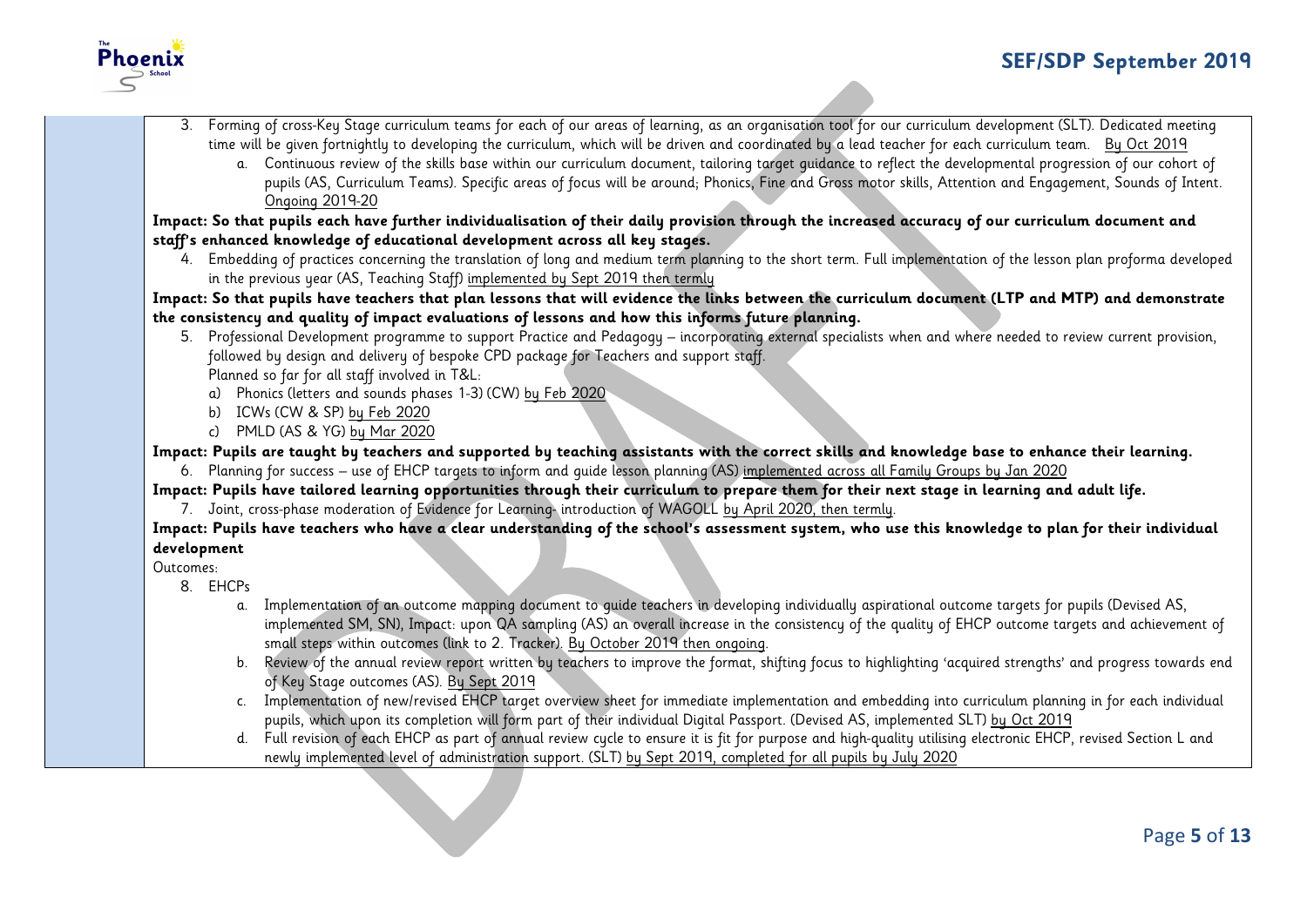

3. Forming of cross-Key Stage curriculum teams for each of our areas of learning, as an organisation tool for our curriculum development (SLT). Dedicated meeting time will be given fortnightly to developing the curriculum, which will be driven and coordinated by a lead teacher for each curriculum team. By Oct 2019 a. Continuous review of the skills base within our curriculum document, tailoring target guidance to reflect the developmental progression of our cohort of pupils (AS, Curriculum Teams). Specific areas of focus will be around; Phonics, Fine and Gross motor skills, Attention and Engagement, Sounds of Intent. Ongoing 2019-20 **Impact: So that pupils each have further individualisation of their daily provision through the increased accuracy of our curriculum document and staff's enhanced knowledge of educational development across all key stages.** 4. Embedding of practices concerning the translation of long and medium term planning to the short term. Full implementation of the lesson plan proforma developed in the previous year (AS, Teaching Staff) implemented by Sept 2019 then termly **Impact: So that pupils have teachers that plan lessons that will evidence the links between the curriculum document (LTP and MTP) and demonstrate the consistency and quality of impact evaluations of lessons and how this informs future planning.** 5. Professional Development programme to support Practice and Pedagogy – incorporating external specialists when and where needed to review current provision, followed by design and delivery of bespoke CPD package for Teachers and support staff. Planned so far for all staff involved in T&L: a) Phonics (letters and sounds phases 1-3) (CW) by Feb 2020 b) ICWs (CW & SP) by Feb 2020 c) PMLD (AS & YG) by Mar 2020 **Impact: Pupils are taught by teachers and supported by teaching assistants with the correct skills and knowledge base to enhance their learning.** 6. Planning for success – use of EHCP targets to inform and guide lesson planning (AS) implemented across all Family Groups by Jan 2020 **Impact: Pupils have tailored learning opportunities through their curriculum to prepare them for their next stage in learning and adult life.** 7. Joint, cross-phase moderation of Evidence for Learning- introduction of WAGOLL by April 2020, then termly. **Impact: Pupils have teachers who have a clear understanding of the school's assessment system, who use this knowledge to plan for their individual development** Outcomes: 8. EHCPs a. Implementation of an outcome mapping document to guide teachers in developing individually aspirational outcome targets for pupils (Devised AS, implemented SM, SN), Impact: upon QA sampling (AS) an overall increase in the consistency of the quality of EHCP outcome targets and achievement of small steps within outcomes (link to 2. Tracker). By October 2019 then ongoing. b. Review of the annual review report written by teachers to improve the format, shifting focus to highlighting 'acquired strengths' and progress towards end of Key Stage outcomes (AS). By Sept 2019 c. Implementation of new/revised EHCP target overview sheet for immediate implementation and embedding into curriculum planning in for each individual pupils, which upon its completion will form part of their individual Digital Passport. (Devised AS, implemented SLT) by Oct 2019 d. Full revision of each EHCP as part of annual review cycle to ensure it is fit for purpose and high-quality utilising electronic EHCP, revised Section L and newly implemented level of administration support. (SLT) by Sept 2019, completed for all pupils by July 2020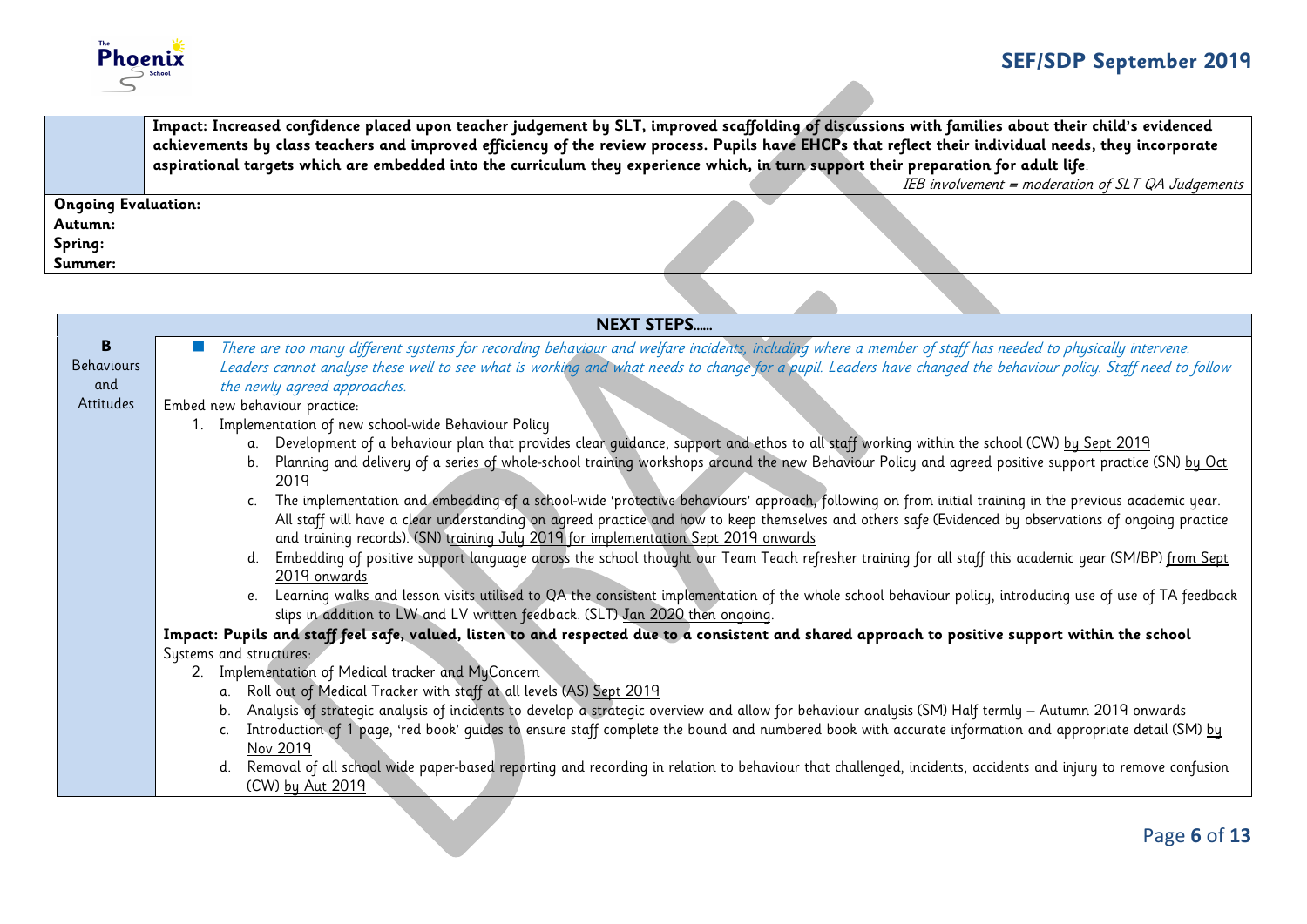

**Impact: Increased confidence placed upon teacher judgement by SLT, improved scaffolding of discussions with families about their child's evidenced achievements by class teachers and improved efficiency of the review process. Pupils have EHCPs that reflect their individual needs, they incorporate aspirational targets which are embedded into the curriculum they experience which, in turn support their preparation for adult life**.

IEB involvement = moderation of  $SLT$  QA Judgements

**Ongoing Evaluation: Autumn:**

**Spring:**

**Summer:**

|                   | <b>NEXT STEPS</b>                                                                                                                                                                                                                             |
|-------------------|-----------------------------------------------------------------------------------------------------------------------------------------------------------------------------------------------------------------------------------------------|
| B                 | There are too many different systems for recording behaviour and welfare incidents, including where a member of staff has needed to physically intervene.                                                                                     |
| <b>Behaviours</b> | Leaders cannot analyse these well to see what is working and what needs to change for a pupil. Leaders have changed the behaviour policy. Staff need to follow                                                                                |
| and               | the newly agreed approaches.                                                                                                                                                                                                                  |
| Attitudes         | Embed new behaviour practice:                                                                                                                                                                                                                 |
|                   | 1. Implementation of new school-wide Behaviour Policy                                                                                                                                                                                         |
|                   | a. Development of a behaviour plan that provides clear quidance, support and ethos to all staff working within the school (CW) by Sept 2019                                                                                                   |
|                   | Planning and delivery of a series of whole-school training workshops around the new Behaviour Policy and agreed positive support practice (SN) by Oct<br>b.<br>201 <sup>c</sup>                                                               |
|                   | c. The implementation and embedding of a school-wide 'protective behaviours' approach, following on from initial training in the previous academic year.                                                                                      |
|                   | All staff will have a clear understanding on agreed practice and how to keep themselves and others safe (Evidenced by observations of ongoing practice                                                                                        |
|                   | and training records). (SN) training July 2019 for implementation Sept 2019 onwards                                                                                                                                                           |
|                   | Embedding of positive support language across the school thought our Team Teach refresher training for all staff this academic year (SM/BP) from Sept                                                                                         |
|                   | 2019 onwards                                                                                                                                                                                                                                  |
|                   | e. Learning walks and lesson visits utilised to QA the consistent implementation of the whole school behaviour policy, introducing use of use of TA feedback<br>slips in addition to LW and LV written feedback. (SLT) Jan 2020 then ongoing. |
|                   | Impact: Pupils and staff feel safe, valued, listen to and respected due to a consistent and shared approach to positive support within the school                                                                                             |
|                   | Systems and structures:                                                                                                                                                                                                                       |
|                   | Implementation of Medical tracker and MyConcern<br>2.                                                                                                                                                                                         |
|                   | Roll out of Medical Tracker with staff at all levels (AS) Sept 2019<br>a.                                                                                                                                                                     |
|                   | Analysis of strategic analysis of incidents to develop a strategic overview and allow for behaviour analysis (SM) Half termly - Autumn 2019 onwards<br>b.                                                                                     |
|                   | Introduction of 1 page, 'red book' quides to ensure staff complete the bound and numbered book with accurate information and appropriate detail (SM) by                                                                                       |
|                   | Nov 2019                                                                                                                                                                                                                                      |
|                   | d. Removal of all school wide paper-based reporting and recording in relation to behaviour that challenged, incidents, accidents and injury to remove confusion                                                                               |
|                   | (CW) by Aut 2019                                                                                                                                                                                                                              |
|                   |                                                                                                                                                                                                                                               |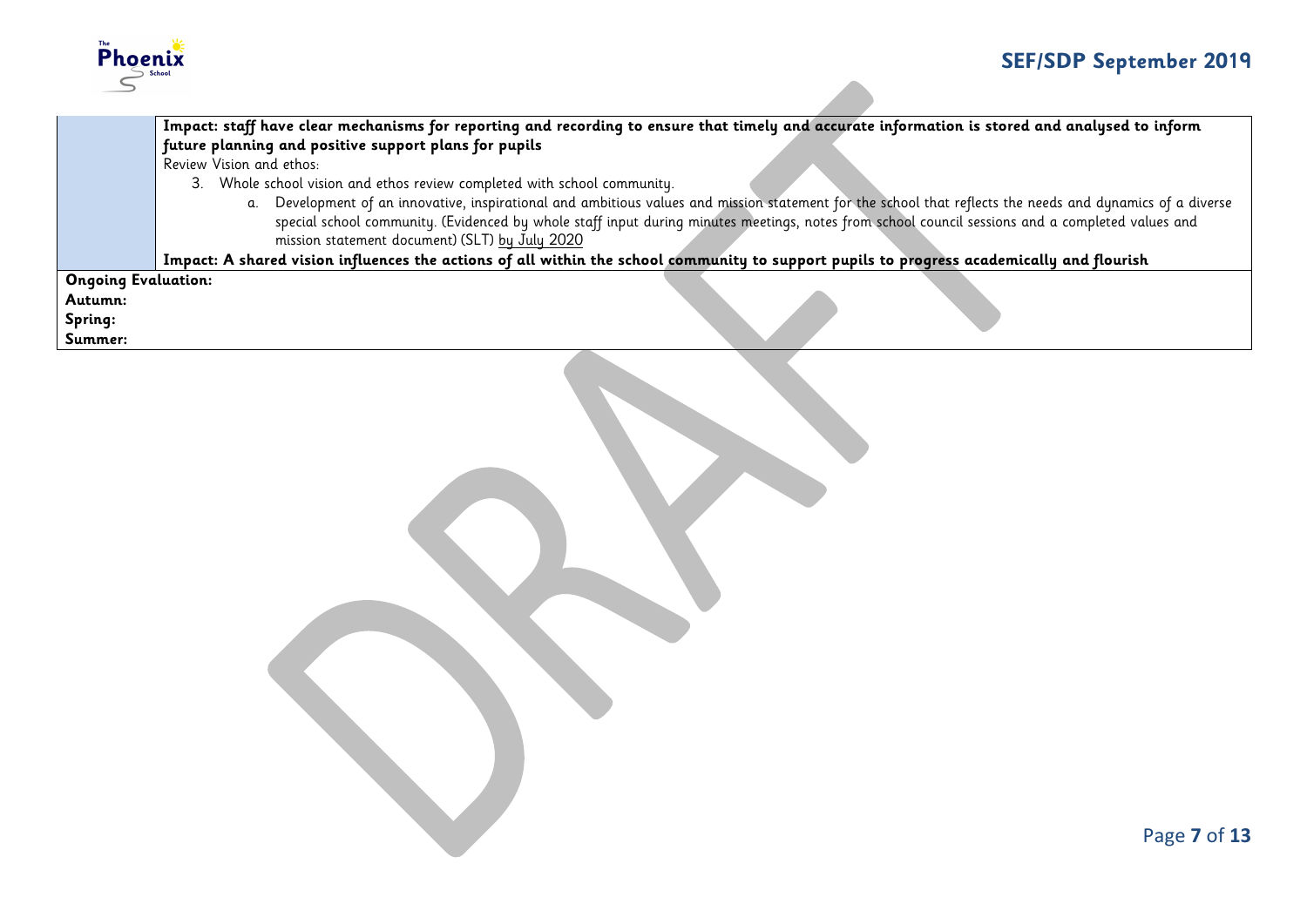

|         | Impact: staff have clear mechanisms for reporting and recording to ensure that timely and accurate information is stored and analysed to inform               |  |  |
|---------|---------------------------------------------------------------------------------------------------------------------------------------------------------------|--|--|
|         | future planning and positive support plans for pupils                                                                                                         |  |  |
|         | Review Vision and ethos:                                                                                                                                      |  |  |
|         | 3. Whole school vision and ethos review completed with school community.                                                                                      |  |  |
|         | Development of an innovative, inspirational and ambitious values and mission statement for the school that reflects the needs and dynamics of a diverse<br>α. |  |  |
|         | special school community. (Evidenced by whole staff input during minutes meetings, notes from school council sessions and a completed values and              |  |  |
|         | mission statement document) (SLT) by July 2020                                                                                                                |  |  |
|         | Impact: A shared vision influences the actions of all within the school community to support pupils to progress academically and flourish                     |  |  |
|         | <b>Ongoing Evaluation:</b>                                                                                                                                    |  |  |
| Autumn: |                                                                                                                                                               |  |  |
| Spring: |                                                                                                                                                               |  |  |
| Summer: |                                                                                                                                                               |  |  |
|         |                                                                                                                                                               |  |  |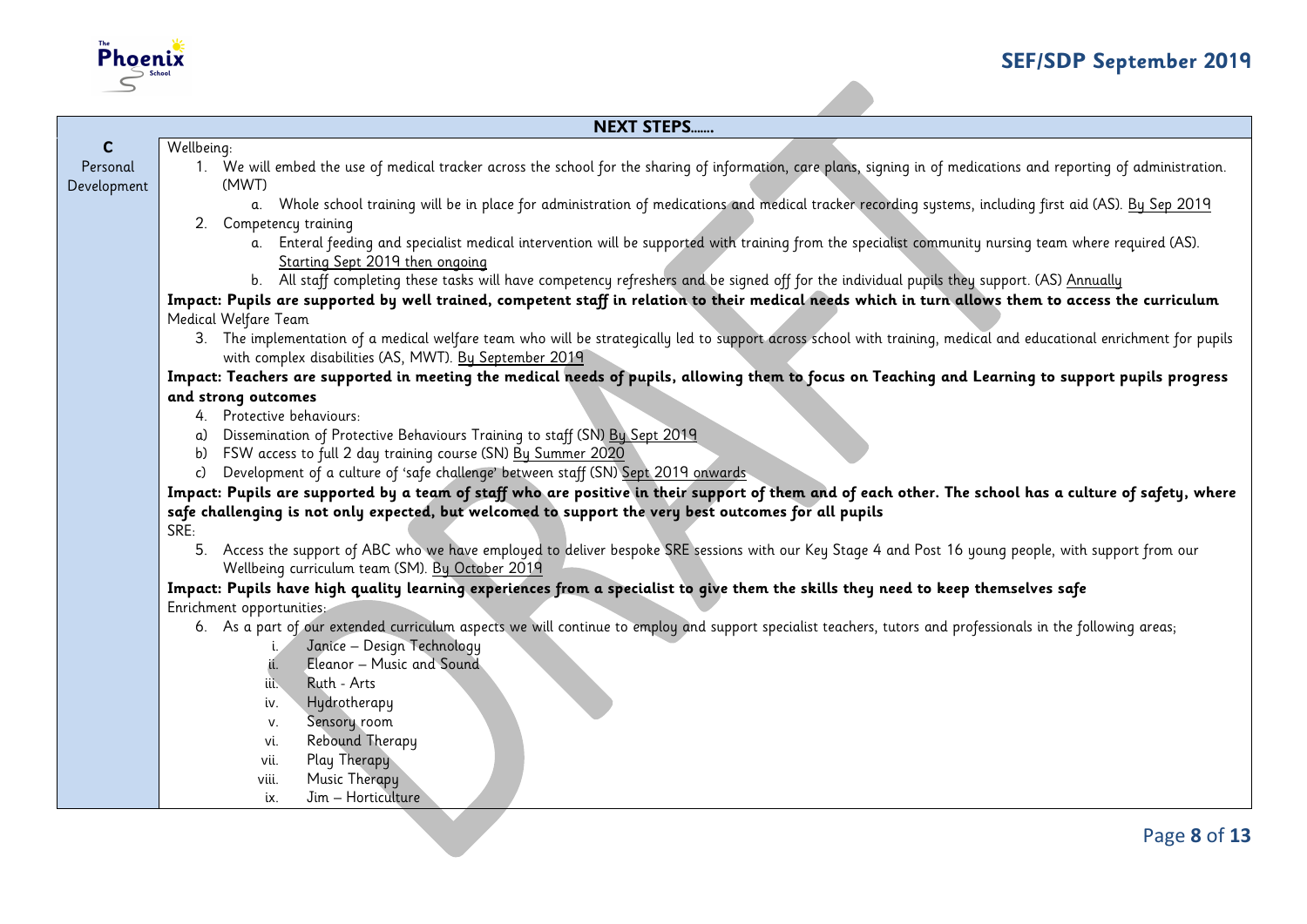

# **NEXT STEPS…….**

| $\mathbf{C}$ | Wellbeing:                                                                                                                                                                       |
|--------------|----------------------------------------------------------------------------------------------------------------------------------------------------------------------------------|
| Personal     | 1. We will embed the use of medical tracker across the school for the sharing of information, care plans, signing in of medications and reporting of administration.             |
| Development  | (MWT)                                                                                                                                                                            |
|              | a. Whole school training will be in place for administration of medications and medical tracker recording systems, including first aid (AS). By Sep 2019                         |
|              | 2. Competency training<br>a. Enteral feeding and specialist medical intervention will be supported with training from the specialist community nursing team where required (AS). |
|              | Starting Sept 2019 then ongoing                                                                                                                                                  |
|              | b. All staff completing these tasks will have competency refreshers and be signed off for the individual pupils they support. (AS) Annually                                      |
|              | Impact: Pupils are supported by well trained, competent staff in relation to their medical needs which in turn allows them to access the curriculum                              |
|              | Medical Welfare Team                                                                                                                                                             |
|              | 3. The implementation of a medical welfare team who will be strategically led to support across school with training, medical and educational enrichment for pupils              |
|              | with complex disabilities (AS, MWT). By September 2019                                                                                                                           |
|              | Impact: Teachers are supported in meeting the medical needs of pupils, allowing them to focus on Teaching and Learning to support pupils progress                                |
|              | and strong outcomes                                                                                                                                                              |
|              | 4. Protective behaviours:                                                                                                                                                        |
|              | Dissemination of Protective Behaviours Training to staff (SN) By Sept 2019                                                                                                       |
|              | b) FSW access to full 2 day training course (SN) By Summer 2020                                                                                                                  |
|              | c) Development of a culture of 'safe challenge' between staff (SN) Sept 2019 onwards                                                                                             |
|              | Impact: Pupils are supported by a team of staff who are positive in their support of them and of each other. The school has a culture of safety, where                           |
|              | safe challenging is not only expected, but welcomed to support the very best outcomes for all pupils<br>SRE:                                                                     |
|              | 5. Access the support of ABC who we have employed to deliver bespoke SRE sessions with our Key Stage 4 and Post 16 young people, with support from our                           |
|              | Wellbeing curriculum team (SM). By October 2019                                                                                                                                  |
|              | Impact: Pupils have high quality learning experiences from a specialist to give them the skills they need to keep themselves safe                                                |
|              | Enrichment opportunities:                                                                                                                                                        |
|              | 6. As a part of our extended curriculum aspects we will continue to employ and support specialist teachers, tutors and professionals in the following areas;                     |
|              | Janice - Design Technology                                                                                                                                                       |
|              | Eleanor - Music and Sound<br>ä.                                                                                                                                                  |
|              | Ruth - Arts<br>iii.                                                                                                                                                              |
|              | Hydrotherapy<br>iv.                                                                                                                                                              |
|              | Sensory room<br>V.                                                                                                                                                               |
|              | Rebound Therapy<br>vi.<br>Play Therapy                                                                                                                                           |
|              | vii.<br>Music Therapy<br>viii.                                                                                                                                                   |
|              | Jim - Horticulture<br>ix.                                                                                                                                                        |
|              |                                                                                                                                                                                  |
|              | Page 8 of 13                                                                                                                                                                     |
|              |                                                                                                                                                                                  |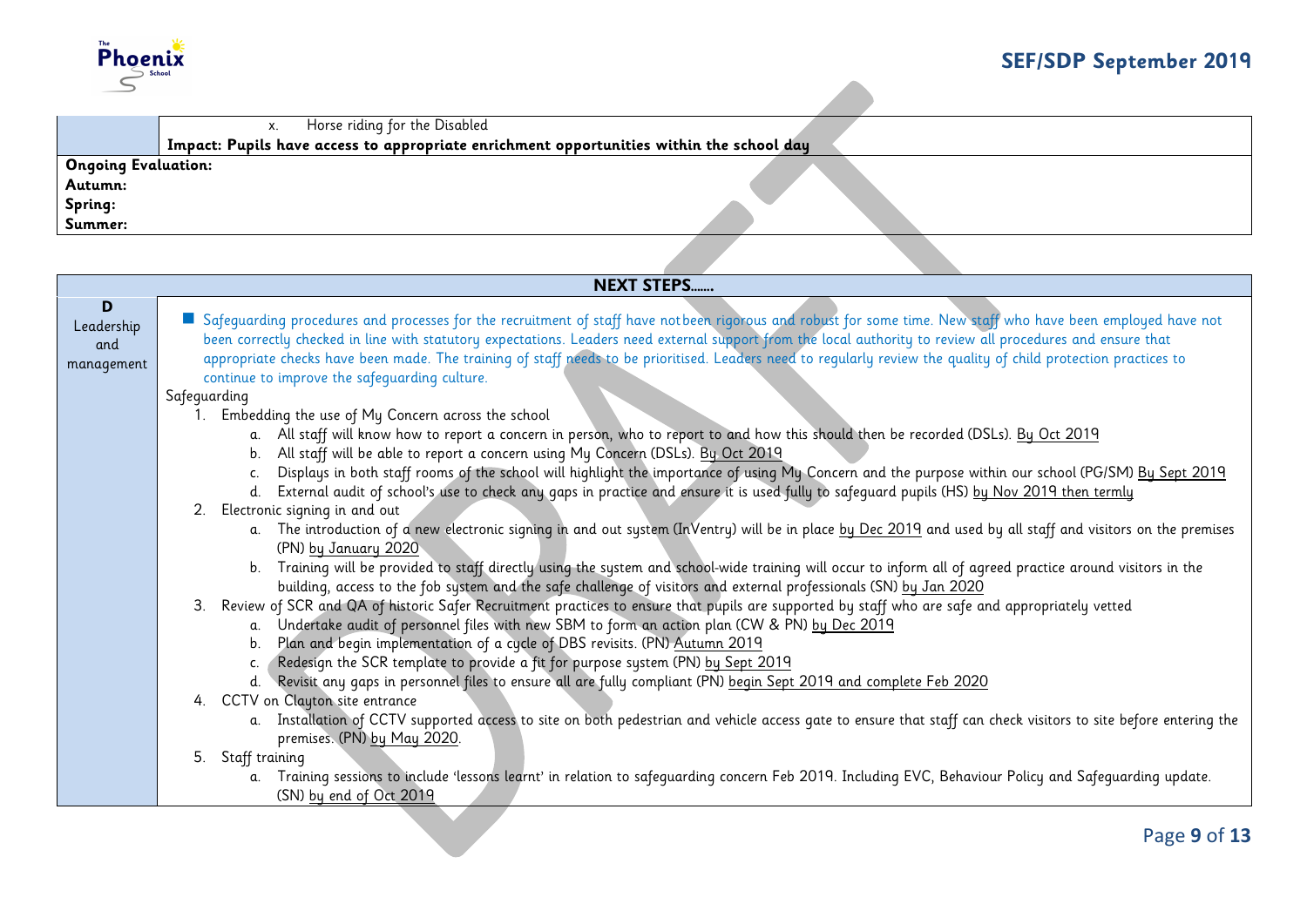

|                            | Horse riding for the Disabled<br>X.                                                      |
|----------------------------|------------------------------------------------------------------------------------------|
|                            | Impact: Pupils have access to appropriate enrichment opportunities within the school day |
| <b>Ongoing Evaluation:</b> |                                                                                          |
| Autumn:                    |                                                                                          |
| Spring:                    |                                                                                          |
| Summer:                    |                                                                                          |
|                            |                                                                                          |
|                            |                                                                                          |

|                                      | <b>NEXT STEPS</b>                                                                                                                                                                                                                                                                                                                                                                                                                                                                                                                               |  |
|--------------------------------------|-------------------------------------------------------------------------------------------------------------------------------------------------------------------------------------------------------------------------------------------------------------------------------------------------------------------------------------------------------------------------------------------------------------------------------------------------------------------------------------------------------------------------------------------------|--|
| D<br>Leadership<br>and<br>management | Safequarding procedures and processes for the recruitment of staff have notbeen rigorous and robust for some time. New staff who have been employed have not<br>been correctly checked in line with statutory expectations. Leaders need external support from the local authority to review all procedures and ensure that<br>appropriate checks have been made. The training of staff needs to be prioritised. Leaders need to regularly review the quality of child protection practices to<br>continue to improve the safeguarding culture. |  |
|                                      | Safeguarding                                                                                                                                                                                                                                                                                                                                                                                                                                                                                                                                    |  |
|                                      | Embedding the use of My Concern across the school                                                                                                                                                                                                                                                                                                                                                                                                                                                                                               |  |
|                                      | All staff will know how to report a concern in person, who to report to and how this should then be recorded (DSLs). By Oct 2019<br>All staff will be able to report a concern using My Concern (DSLs). By Oct 2019<br>b.                                                                                                                                                                                                                                                                                                                       |  |
|                                      | Displays in both staff rooms of the school will highlight the importance of using My Concern and the purpose within our school (PG/SM) By Sept 2019                                                                                                                                                                                                                                                                                                                                                                                             |  |
|                                      | External audit of school's use to check any gaps in practice and ensure it is used fully to safeguard pupils (HS) by Nov 2019 then termly<br>d.                                                                                                                                                                                                                                                                                                                                                                                                 |  |
|                                      | 2. Electronic signing in and out                                                                                                                                                                                                                                                                                                                                                                                                                                                                                                                |  |
|                                      | a. The introduction of a new electronic signing in and out system (InVentry) will be in place by Dec 2019 and used by all staff and visitors on the premises<br>(PN) by January 2020                                                                                                                                                                                                                                                                                                                                                            |  |
|                                      | Training will be provided to staff directly using the system and school-wide training will occur to inform all of agreed practice around visitors in the<br>building, access to the fob system and the safe challenge of visitors and external professionals (SN) by Jan 2020                                                                                                                                                                                                                                                                   |  |
|                                      | Review of SCR and QA of historic Safer Recruitment practices to ensure that pupils are supported by staff who are safe and appropriately vetted<br>$3_{-}$                                                                                                                                                                                                                                                                                                                                                                                      |  |
|                                      | Undertake audit of personnel files with new SBM to form an action plan (CW & PN) by Dec 2019<br>a.                                                                                                                                                                                                                                                                                                                                                                                                                                              |  |
|                                      | Plan and begin implementation of a cycle of DBS revisits. (PN) Autumn 2019<br>b.                                                                                                                                                                                                                                                                                                                                                                                                                                                                |  |
|                                      | Redesign the SCR template to provide a fit for purpose system (PN) by Sept 2019                                                                                                                                                                                                                                                                                                                                                                                                                                                                 |  |
|                                      | Revisit any gaps in personnel files to ensure all are fully compliant (PN) begin Sept 2019 and complete Feb 2020<br>4. CCTV on Clayton site entrance                                                                                                                                                                                                                                                                                                                                                                                            |  |
|                                      | a. Installation of CCTV supported access to site on both pedestrian and vehicle access gate to ensure that staff can check visitors to site before entering the<br>premises. (PN) by May 2020.                                                                                                                                                                                                                                                                                                                                                  |  |
|                                      | 5. Staff training                                                                                                                                                                                                                                                                                                                                                                                                                                                                                                                               |  |
|                                      | Training sessions to include 'lessons learnt' in relation to safeguarding concern Feb 2019. Including EVC, Behaviour Policy and Safeguarding update.<br>a.                                                                                                                                                                                                                                                                                                                                                                                      |  |
|                                      | (SN) by end of Oct 2019                                                                                                                                                                                                                                                                                                                                                                                                                                                                                                                         |  |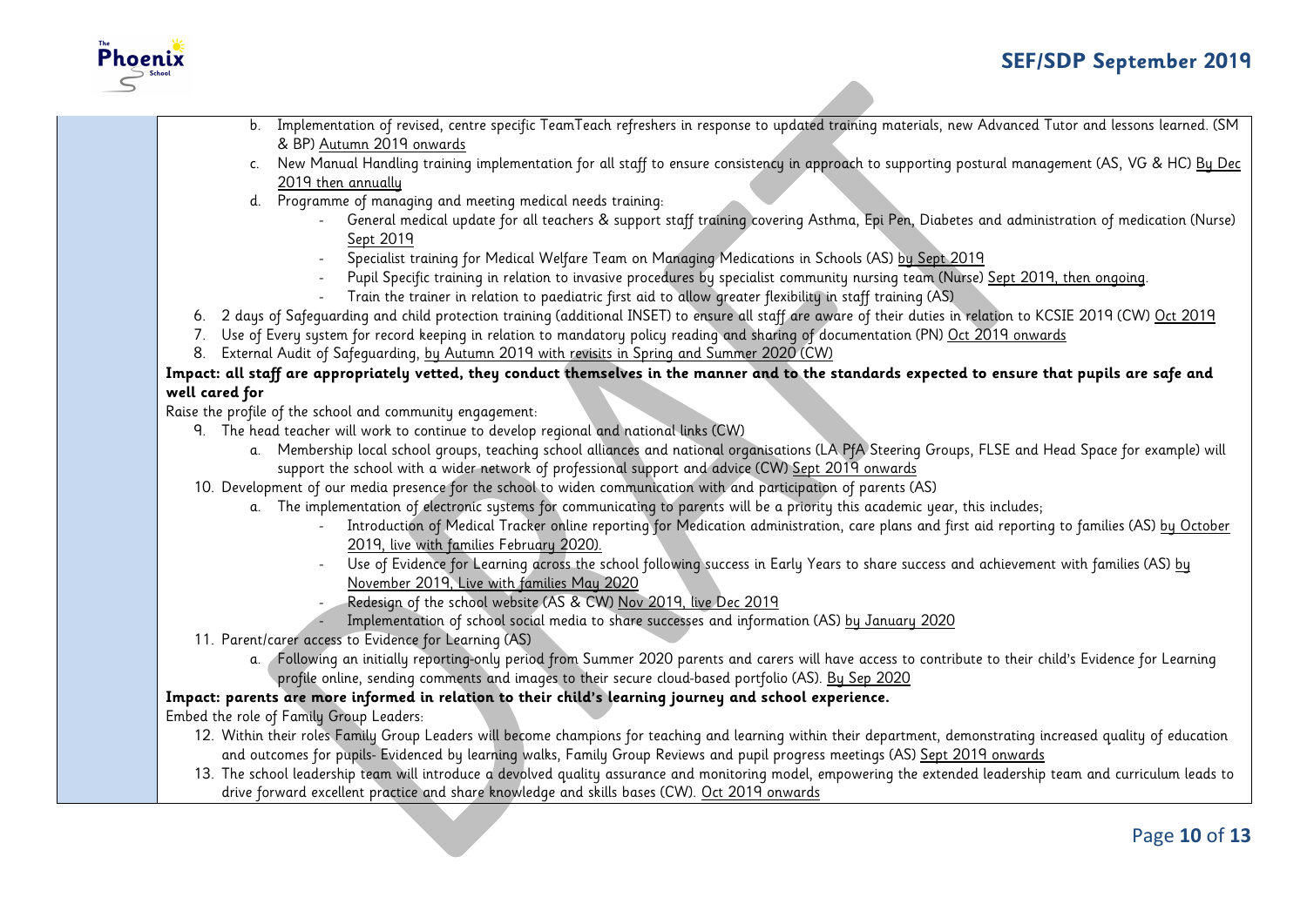

- b. Implementation of revised, centre specific TeamTeach refreshers in response to updated training materials, new Advanced Tutor and lessons learned. (SM & BP) Autumn 2019 onwards
	- c. New Manual Handling training implementation for all staff to ensure consistency in approach to supporting postural management (AS, VG & HC) By Dec 2019 then annually
	- d. Programme of managing and meeting medical needs training:
		- General medical update for all teachers & support staff training covering Asthma, Epi Pen, Diabetes and administration of medication (Nurse) Sept 2019
		- Specialist training for Medical Welfare Team on Managing Medications in Schools (AS) by Sept 2019
		- Pupil Specific training in relation to invasive procedures by specialist community nursing team (Nurse) Sept 2019, then ongoing.
		- Train the trainer in relation to paediatric first aid to allow greater flexibility in staff training (AS)
- 6. 2 days of Safeguarding and child protection training (additional INSET) to ensure all staff are aware of their duties in relation to KCSIE 2019 (CW) Oct 2019
- 7. Use of Every system for record keeping in relation to mandatory policy reading and sharing of documentation (PN) Oct 2019 onwards
- 8. External Audit of Safeguarding, by Autumn 2019 with revisits in Spring and Summer 2020 (CW)

#### **Impact: all staff are appropriately vetted, they conduct themselves in the manner and to the standards expected to ensure that pupils are safe and well cared for**

Raise the profile of the school and community engagement:

- 9. The head teacher will work to continue to develop regional and national links (CW)
	- a. Membership local school groups, teaching school alliances and national organisations (LA PfA Steering Groups, FLSE and Head Space for example) will support the school with a wider network of professional support and advice (CW) Sept 2019 onwards
- 10. Development of our media presence for the school to widen communication with and participation of parents (AS)
	- a. The implementation of electronic systems for communicating to parents will be a priority this academic year, this includes;
		- Introduction of Medical Tracker online reporting for Medication administration, care plans and first aid reporting to families (AS) by October 2019, live with families February 2020).
		- Use of Evidence for Learning across the school following success in Early Years to share success and achievement with families (AS) by November 2019, Live with families May 2020
		- Redesign of the school website (AS & CW) Nov 2019, live Dec 2019
		- Implementation of school social media to share successes and information (AS) by January 2020
- 11. Parent/carer access to Evidence for Learning (AS)
	- a. Following an initially reporting-only period from Summer 2020 parents and carers will have access to contribute to their child's Evidence for Learning profile online, sending comments and images to their secure cloud-based portfolio (AS). By Sep 2020

## **Impact: parents are more informed in relation to their child's learning journey and school experience.**

Embed the role of Family Group Leaders:

- 12. Within their roles Family Group Leaders will become champions for teaching and learning within their department, demonstrating increased quality of education and outcomes for pupils- Evidenced by learning walks, Family Group Reviews and pupil progress meetings (AS) Sept 2019 onwards
- 13. The school leadership team will introduce a devolved quality assurance and monitoring model, empowering the extended leadership team and curriculum leads to drive forward excellent practice and share knowledge and skills bases (CW). Oct 2019 onwards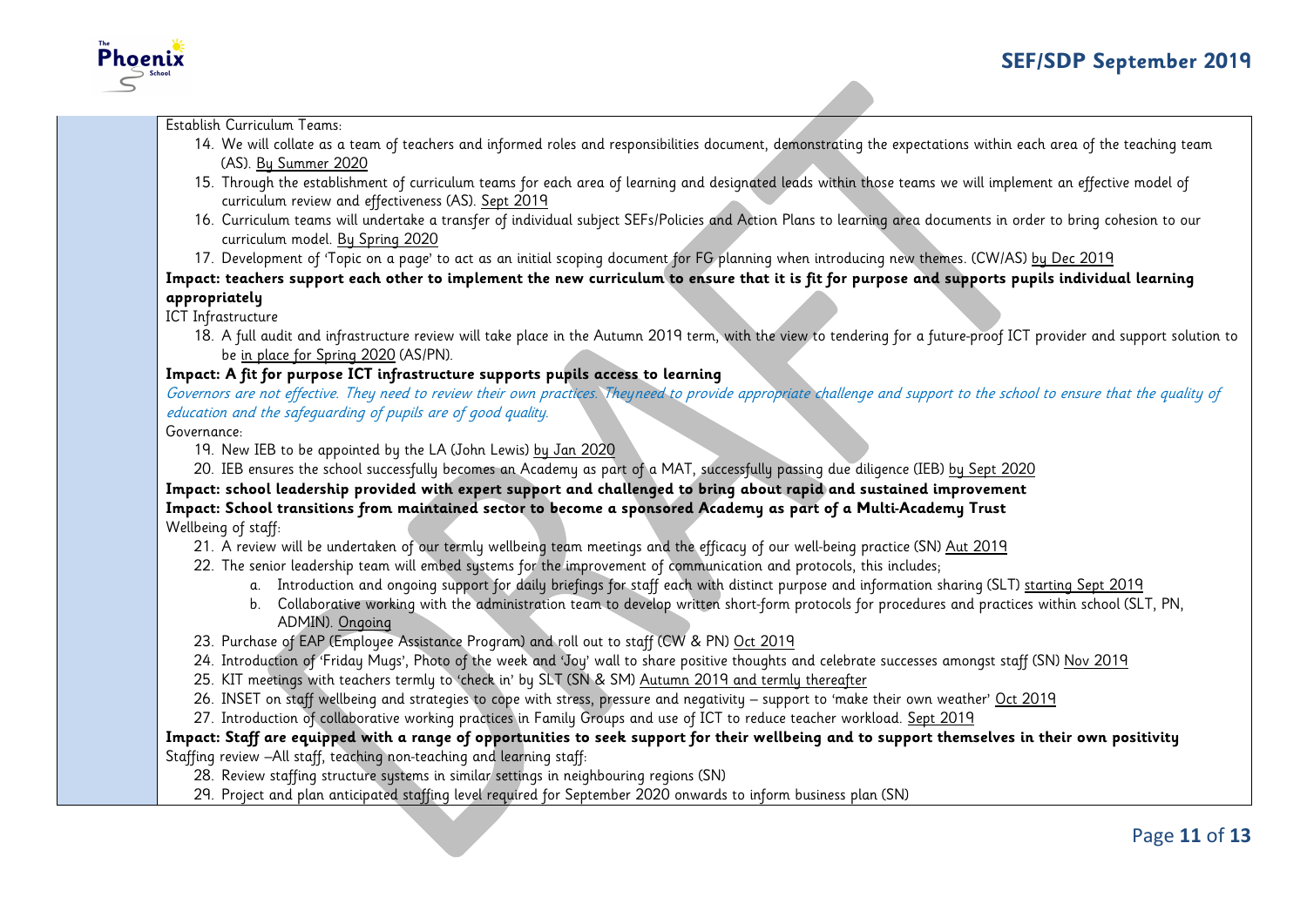

Establish Curriculum Teams:

Phoenix

- 14. We will collate as a team of teachers and informed roles and responsibilities document, demonstrating the expectations within each area of the teaching team (AS). By Summer 2020
- 15. Through the establishment of curriculum teams for each area of learning and designated leads within those teams we will implement an effective model of curriculum review and effectiveness (AS). Sept 2019
- 16. Curriculum teams will undertake a transfer of individual subject SEFs/Policies and Action Plans to learning area documents in order to bring cohesion to our curriculum model. By Spring 2020
- 17. Development of 'Topic on a page' to act as an initial scoping document for FG planning when introducing new themes. (CW/AS) by Dec 2019

**Impact: teachers support each other to implement the new curriculum to ensure that it is fit for purpose and supports pupils individual learning appropriately** 

ICT Infrastructure

18. A full audit and infrastructure review will take place in the Autumn 2019 term, with the view to tendering for a future-proof ICT provider and support solution to be in place for Spring 2020 (AS/PN).

## **Impact: A fit for purpose ICT infrastructure supports pupils access to learning**

Governors are not effective. They need to review their own practices. Theyneed to provide appropriate challenge and support to the school to ensure that the quality of education and the safeguarding of pupils are of good quality.

Governance:

19. New IEB to be appointed by the LA (John Lewis) by Jan 2020

20. IEB ensures the school successfully becomes an Academy as part of a MAT, successfully passing due diligence (IEB) by Sept 2020

**Impact: school leadership provided with expert support and challenged to bring about rapid and sustained improvement Impact: School transitions from maintained sector to become a sponsored Academy as part of a Multi-Academy Trust** Wellbeing of staff:

21. A review will be undertaken of our termly wellbeing team meetings and the efficacy of our well-being practice (SN) Aut 2019

- 22. The senior leadership team will embed systems for the improvement of communication and protocols, this includes;
	- a. Introduction and ongoing support for daily briefings for staff each with distinct purpose and information sharing (SLT) starting Sept 2019
	- b. Collaborative working with the administration team to develop written short-form protocols for procedures and practices within school (SLT, PN, ADMIN). Ongoing
- 23. Purchase of EAP (Employee Assistance Program) and roll out to staff (CW & PN) Oct 2019
- 24. Introduction of 'Friday Mugs', Photo of the week and 'Joy' wall to share positive thoughts and celebrate successes amongst staff (SN) Nov 2019
- 25. KIT meetings with teachers termly to 'check in' by SLT (SN & SM) Autumn 2019 and termly thereafter
- 26. INSET on staff wellbeing and strategies to cope with stress, pressure and negativity support to 'make their own weather' Oct 2019
- 27. Introduction of collaborative working practices in Family Groups and use of ICT to reduce teacher workload. Sept 2019

#### **Impact: Staff are equipped with a range of opportunities to seek support for their wellbeing and to support themselves in their own positivity**

Staffing review –All staff, teaching non-teaching and learning staff:

- 28. Review staffing structure sustems in similar settings in neighbouring regions (SN)
- 29. Project and plan anticipated staffing level required for September 2020 onwards to inform business plan (SN)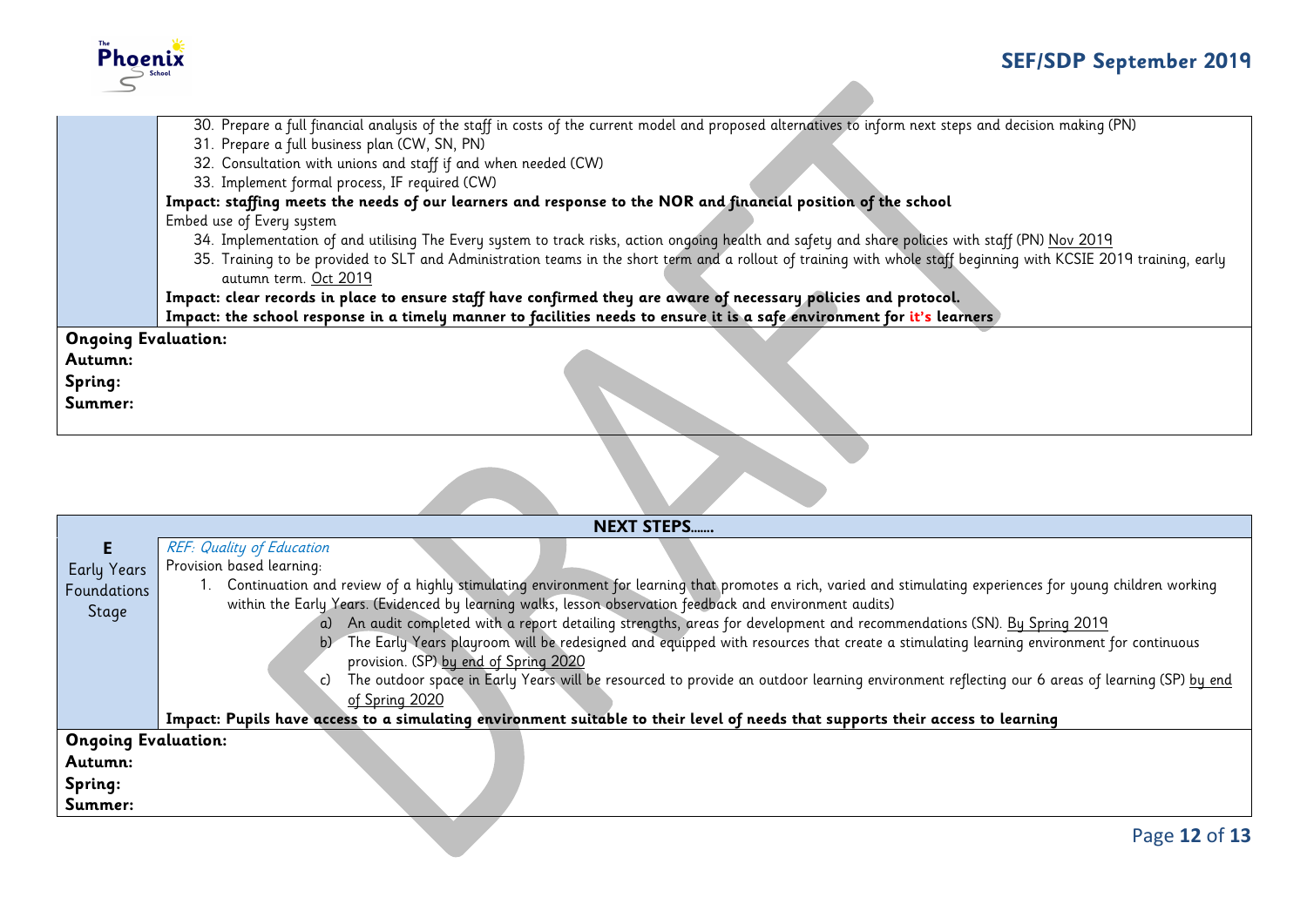

|                            | 30. Prepare a full financial analysis of the staff in costs of the current model and proposed alternatives to inform next steps and decision making (PN)           |
|----------------------------|--------------------------------------------------------------------------------------------------------------------------------------------------------------------|
|                            | 31. Prepare a full business plan (CW, SN, PN)                                                                                                                      |
|                            | 32. Consultation with unions and staff if and when needed (CW)                                                                                                     |
|                            | 33. Implement formal process, IF required (CW)                                                                                                                     |
|                            | Impact: staffing meets the needs of our learners and response to the NOR and financial position of the school                                                      |
|                            | Embed use of Every system                                                                                                                                          |
|                            | 34. Implementation of and utilising The Every system to track risks, action ongoing health and safety and share policies with staff (PN) Nov 2019                  |
|                            | 35. Training to be provided to SLT and Administration teams in the short term and a rollout of training with whole staff beginning with KCSIE 2019 training, early |
|                            | autumn term. Oct 2019                                                                                                                                              |
|                            | Impact: clear records in place to ensure staff have confirmed they are aware of necessary policies and protocol.                                                   |
|                            | Impact: the school response in a timely manner to facilities needs to ensure it is a safe environment for it's learners                                            |
| <b>Ongoing Evaluation:</b> |                                                                                                                                                                    |
| Autumn:                    |                                                                                                                                                                    |
| Spring:                    |                                                                                                                                                                    |
| Summer:                    |                                                                                                                                                                    |
|                            |                                                                                                                                                                    |
|                            |                                                                                                                                                                    |

|                            | <b>NEXT STEPS</b>                                                                                                                                            |  |
|----------------------------|--------------------------------------------------------------------------------------------------------------------------------------------------------------|--|
|                            | <b>REF: Quality of Education</b>                                                                                                                             |  |
| Early Years                | Provision based learning:                                                                                                                                    |  |
| Foundations                | Continuation and review of a highly stimulating environment for learning that promotes a rich, varied and stimulating experiences for young children working |  |
| Stage                      | within the Early Years. (Evidenced by learning walks, lesson observation feedback and environment audits)                                                    |  |
|                            | a) An audit completed with a report detailing strengths, areas for development and recommendations (SN). By Spring 2019                                      |  |
|                            | The Early Years playroom will be redesigned and equipped with resources that create a stimulating learning environment for continuous<br>b)                  |  |
|                            | provision. (SP) by end of Spring 2020                                                                                                                        |  |
|                            | The outdoor space in Early Years will be resourced to provide an outdoor learning environment reflecting our 6 areas of learning (SP) by end<br>.c)          |  |
|                            | of Spring 2020                                                                                                                                               |  |
|                            | Impact: Pupils have access to a simulating environment suitable to their level of needs that supports their access to learning                               |  |
| <b>Ongoing Evaluation:</b> |                                                                                                                                                              |  |
| Autumn:                    |                                                                                                                                                              |  |
| Spring:                    |                                                                                                                                                              |  |
| Summer:                    |                                                                                                                                                              |  |
|                            |                                                                                                                                                              |  |